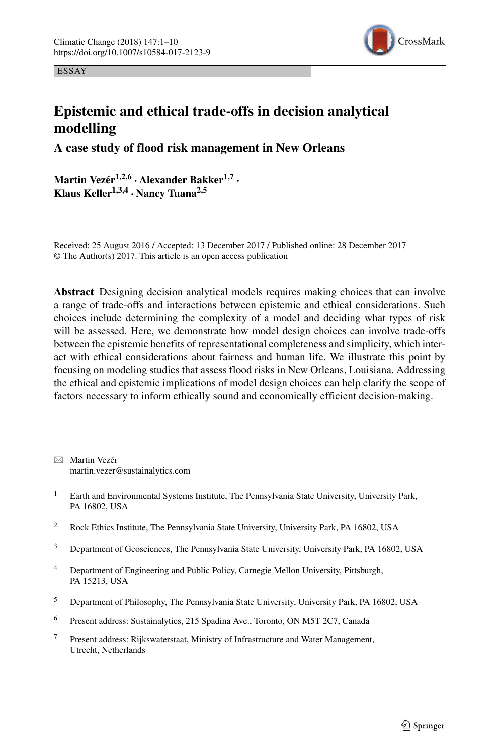

ESSAY

# **Epistemic and ethical trade-offs in decision analytical modelling**

**A case study of flood risk management in New Orleans**

Martin Vezér<sup>1,2,6</sup> · Alexander Bakker<sup>1,7</sup> · **Klaus Keller1,3,4 · Nancy Tuana2,5**

Received: 25 August 2016 / Accepted: 13 December 2017 / Published online: 28 December 2017 © The Author(s) 2017. This article is an open access publication

**Abstract** Designing decision analytical models requires making choices that can involve a range of trade-offs and interactions between epistemic and ethical considerations. Such choices include determining the complexity of a model and deciding what types of risk will be assessed. Here, we demonstrate how model design choices can involve trade-offs between the epistemic benefits of representational completeness and simplicity, which interact with ethical considerations about fairness and human life. We illustrate this point by focusing on modeling studies that assess flood risks in New Orleans, Louisiana. Addressing the ethical and epistemic implications of model design choices can help clarify the scope of factors necessary to inform ethically sound and economically efficient decision-making.

 $\boxtimes$  Martin Vezér [martin.vezer@sustainalytics.com](mailto:martin.vezer@sustainalytics.com)

- <sup>1</sup> Earth and Environmental Systems Institute, The Pennsylvania State University, University Park, PA 16802, USA
- <sup>2</sup> Rock Ethics Institute, The Pennsylvania State University, University Park, PA 16802, USA
- <sup>3</sup> Department of Geosciences, The Pennsylvania State University, University Park, PA 16802, USA
- <sup>4</sup> Department of Engineering and Public Policy, Carnegie Mellon University, Pittsburgh, PA 15213, USA
- <sup>5</sup> Department of Philosophy, The Pennsylvania State University, University Park, PA 16802, USA
- <sup>6</sup> Present address: Sustainalytics, 215 Spadina Ave., Toronto, ON M5T 2C7, Canada
- <sup>7</sup> Present address: Rijkswaterstaat, Ministry of Infrastructure and Water Management, Utrecht, Netherlands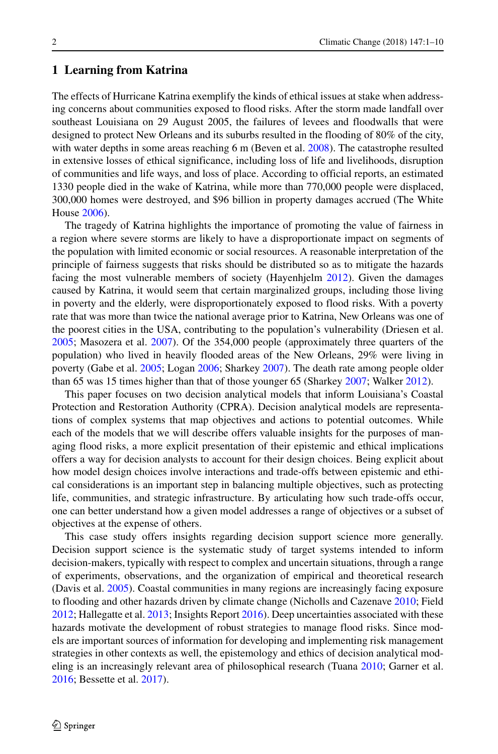#### **1 Learning from Katrina**

The effects of Hurricane Katrina exemplify the kinds of ethical issues at stake when addressing concerns about communities exposed to flood risks. After the storm made landfall over southeast Louisiana on 29 August 2005, the failures of levees and floodwalls that were designed to protect New Orleans and its suburbs resulted in the flooding of 80% of the city, with water depths in some areas reaching 6 m (Beven et al. [2008\)](#page-7-0). The catastrophe resulted in extensive losses of ethical significance, including loss of life and livelihoods, disruption of communities and life ways, and loss of place. According to official reports, an estimated 1330 people died in the wake of Katrina, while more than 770,000 people were displaced, 300,000 homes were destroyed, and \$96 billion in property damages accrued (The White House [2006\)](#page-8-0).

The tragedy of Katrina highlights the importance of promoting the value of fairness in a region where severe storms are likely to have a disproportionate impact on segments of the population with limited economic or social resources. A reasonable interpretation of the principle of fairness suggests that risks should be distributed so as to mitigate the hazards facing the most vulnerable members of society (Hayenhjelm [2012\)](#page-8-1). Given the damages caused by Katrina, it would seem that certain marginalized groups, including those living in poverty and the elderly, were disproportionately exposed to flood risks. With a poverty rate that was more than twice the national average prior to Katrina, New Orleans was one of the poorest cities in the USA, contributing to the population's vulnerability (Driesen et al. [2005;](#page-7-1) Masozera et al. [2007\)](#page-8-2). Of the 354,000 people (approximately three quarters of the population) who lived in heavily flooded areas of the New Orleans, 29% were living in poverty (Gabe et al. [2005;](#page-7-2) Logan [2006;](#page-8-3) Sharkey [2007\)](#page-8-4). The death rate among people older than 65 was 15 times higher than that of those younger 65 (Sharkey [2007;](#page-8-4) Walker [2012\)](#page-9-0).

This paper focuses on two decision analytical models that inform Louisiana's Coastal Protection and Restoration Authority (CPRA). Decision analytical models are representations of complex systems that map objectives and actions to potential outcomes. While each of the models that we will describe offers valuable insights for the purposes of managing flood risks, a more explicit presentation of their epistemic and ethical implications offers a way for decision analysts to account for their design choices. Being explicit about how model design choices involve interactions and trade-offs between epistemic and ethical considerations is an important step in balancing multiple objectives, such as protecting life, communities, and strategic infrastructure. By articulating how such trade-offs occur, one can better understand how a given model addresses a range of objectives or a subset of objectives at the expense of others.

This case study offers insights regarding decision support science more generally. Decision support science is the systematic study of target systems intended to inform decision-makers, typically with respect to complex and uncertain situations, through a range of experiments, observations, and the organization of empirical and theoretical research (Davis et al. [2005\)](#page-7-3). Coastal communities in many regions are increasingly facing exposure to flooding and other hazards driven by climate change (Nicholls and Cazenave [2010;](#page-8-5) Field [2012;](#page-7-4) Hallegatte et al. [2013;](#page-7-5) Insights Report [2016\)](#page-8-6). Deep uncertainties associated with these hazards motivate the development of robust strategies to manage flood risks. Since models are important sources of information for developing and implementing risk management strategies in other contexts as well, the epistemology and ethics of decision analytical modeling is an increasingly relevant area of philosophical research (Tuana [2010;](#page-8-7) Garner et al. [2016;](#page-7-6) Bessette et al. [2017\)](#page-7-7).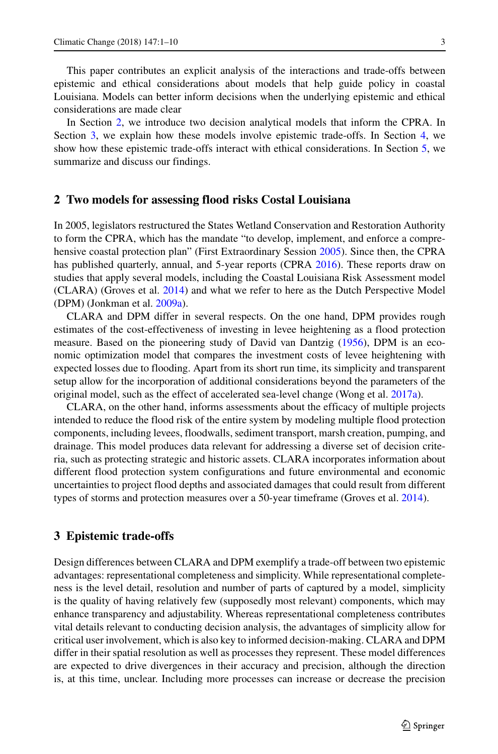This paper contributes an explicit analysis of the interactions and trade-offs between epistemic and ethical considerations about models that help guide policy in coastal Louisiana. Models can better inform decisions when the underlying epistemic and ethical considerations are made clear

In Section [2,](#page-2-0) we introduce two decision analytical models that inform the CPRA. In Section [3,](#page-2-1) we explain how these models involve epistemic trade-offs. In Section [4,](#page-4-0) we show how these epistemic trade-offs interact with ethical considerations. In Section [5,](#page-6-0) we summarize and discuss our findings.

#### <span id="page-2-0"></span>**2 Two models for assessing flood risks Costal Louisiana**

In 2005, legislators restructured the States Wetland Conservation and Restoration Authority to form the CPRA, which has the mandate "to develop, implement, and enforce a comprehensive coastal protection plan" (First Extraordinary Session [2005\)](#page-7-8). Since then, the CPRA has published quarterly, annual, and 5-year reports (CPRA [2016\)](#page-7-9). These reports draw on studies that apply several models, including the Coastal Louisiana Risk Assessment model (CLARA) (Groves et al. [2014\)](#page-7-10) and what we refer to here as the Dutch Perspective Model (DPM) (Jonkman et al. [2009a\)](#page-8-8).

CLARA and DPM differ in several respects. On the one hand, DPM provides rough estimates of the cost-effectiveness of investing in levee heightening as a flood protection measure. Based on the pioneering study of David van Dantzig [\(1956\)](#page-9-1), DPM is an economic optimization model that compares the investment costs of levee heightening with expected losses due to flooding. Apart from its short run time, its simplicity and transparent setup allow for the incorporation of additional considerations beyond the parameters of the original model, such as the effect of accelerated sea-level change (Wong et al. [2017a\)](#page-9-2).

CLARA, on the other hand, informs assessments about the efficacy of multiple projects intended to reduce the flood risk of the entire system by modeling multiple flood protection components, including levees, floodwalls, sediment transport, marsh creation, pumping, and drainage. This model produces data relevant for addressing a diverse set of decision criteria, such as protecting strategic and historic assets. CLARA incorporates information about different flood protection system configurations and future environmental and economic uncertainties to project flood depths and associated damages that could result from different types of storms and protection measures over a 50-year timeframe (Groves et al. [2014\)](#page-7-10).

#### <span id="page-2-1"></span>**3 Epistemic trade-offs**

Design differences between CLARA and DPM exemplify a trade-off between two epistemic advantages: representational completeness and simplicity. While representational completeness is the level detail, resolution and number of parts of captured by a model, simplicity is the quality of having relatively few (supposedly most relevant) components, which may enhance transparency and adjustability. Whereas representational completeness contributes vital details relevant to conducting decision analysis, the advantages of simplicity allow for critical user involvement, which is also key to informed decision-making. CLARA and DPM differ in their spatial resolution as well as processes they represent. These model differences are expected to drive divergences in their accuracy and precision, although the direction is, at this time, unclear. Including more processes can increase or decrease the precision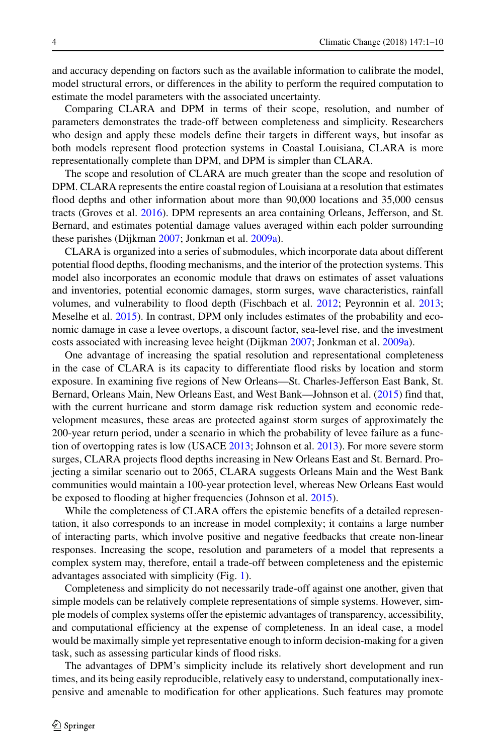and accuracy depending on factors such as the available information to calibrate the model, model structural errors, or differences in the ability to perform the required computation to estimate the model parameters with the associated uncertainty.

Comparing CLARA and DPM in terms of their scope, resolution, and number of parameters demonstrates the trade-off between completeness and simplicity. Researchers who design and apply these models define their targets in different ways, but insofar as both models represent flood protection systems in Coastal Louisiana, CLARA is more representationally complete than DPM, and DPM is simpler than CLARA.

The scope and resolution of CLARA are much greater than the scope and resolution of DPM. CLARA represents the entire coastal region of Louisiana at a resolution that estimates flood depths and other information about more than 90,000 locations and 35,000 census tracts (Groves et al. [2016\)](#page-7-11). DPM represents an area containing Orleans, Jefferson, and St. Bernard, and estimates potential damage values averaged within each polder surrounding these parishes (Dijkman [2007;](#page-7-12) Jonkman et al. [2009a\)](#page-8-8).

CLARA is organized into a series of submodules, which incorporate data about different potential flood depths, flooding mechanisms, and the interior of the protection systems. This model also incorporates an economic module that draws on estimates of asset valuations and inventories, potential economic damages, storm surges, wave characteristics, rainfall volumes, and vulnerability to flood depth (Fischbach et al. [2012;](#page-7-13) Peyronnin et al. [2013;](#page-8-9) Meselhe et al. [2015\)](#page-8-10). In contrast, DPM only includes estimates of the probability and economic damage in case a levee overtops, a discount factor, sea-level rise, and the investment costs associated with increasing levee height (Dijkman [2007;](#page-7-12) Jonkman et al. [2009a\)](#page-8-8).

One advantage of increasing the spatial resolution and representational completeness in the case of CLARA is its capacity to differentiate flood risks by location and storm exposure. In examining five regions of New Orleans—St. Charles-Jefferson East Bank, St. Bernard, Orleans Main, New Orleans East, and West Bank—Johnson et al. [\(2015\)](#page-8-11) find that, with the current hurricane and storm damage risk reduction system and economic redevelopment measures, these areas are protected against storm surges of approximately the 200-year return period, under a scenario in which the probability of levee failure as a function of overtopping rates is low (USACE [2013;](#page-8-12) Johnson et al. [2013\)](#page-8-13). For more severe storm surges, CLARA projects flood depths increasing in New Orleans East and St. Bernard. Projecting a similar scenario out to 2065, CLARA suggests Orleans Main and the West Bank communities would maintain a 100-year protection level, whereas New Orleans East would be exposed to flooding at higher frequencies (Johnson et al. [2015\)](#page-8-11).

While the completeness of CLARA offers the epistemic benefits of a detailed representation, it also corresponds to an increase in model complexity; it contains a large number of interacting parts, which involve positive and negative feedbacks that create non-linear responses. Increasing the scope, resolution and parameters of a model that represents a complex system may, therefore, entail a trade-off between completeness and the epistemic advantages associated with simplicity (Fig. [1\)](#page-4-1).

Completeness and simplicity do not necessarily trade-off against one another, given that simple models can be relatively complete representations of simple systems. However, simple models of complex systems offer the epistemic advantages of transparency, accessibility, and computational efficiency at the expense of completeness. In an ideal case, a model would be maximally simple yet representative enough to inform decision-making for a given task, such as assessing particular kinds of flood risks.

The advantages of DPM's simplicity include its relatively short development and run times, and its being easily reproducible, relatively easy to understand, computationally inexpensive and amenable to modification for other applications. Such features may promote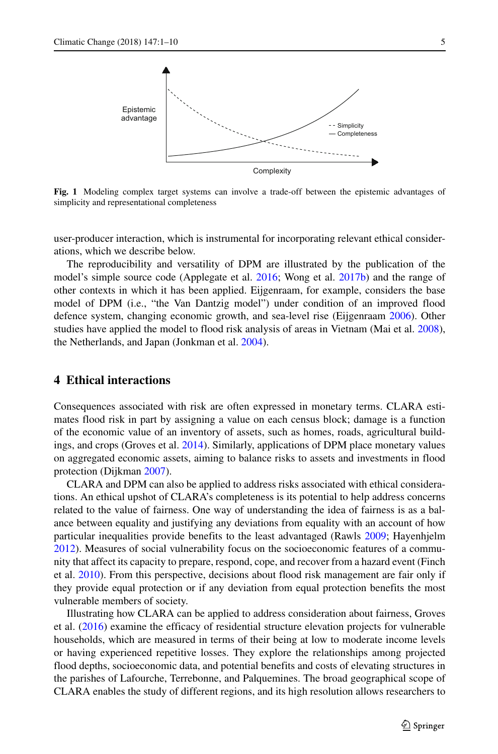<span id="page-4-1"></span>

**Fig. 1** Modeling complex target systems can involve a trade-off between the epistemic advantages of simplicity and representational completeness

user-producer interaction, which is instrumental for incorporating relevant ethical considerations, which we describe below.

The reproducibility and versatility of DPM are illustrated by the publication of the model's simple source code (Applegate et al. [2016;](#page-7-14) Wong et al. [2017b\)](#page-9-3) and the range of other contexts in which it has been applied. Eijgenraam, for example, considers the base model of DPM (i.e., "the Van Dantzig model") under condition of an improved flood defence system, changing economic growth, and sea-level rise (Eijgenraam [2006\)](#page-7-15). Other studies have applied the model to flood risk analysis of areas in Vietnam (Mai et al. [2008\)](#page-8-14), the Netherlands, and Japan (Jonkman et al. [2004\)](#page-8-15).

#### <span id="page-4-0"></span>**4 Ethical interactions**

Consequences associated with risk are often expressed in monetary terms. CLARA estimates flood risk in part by assigning a value on each census block; damage is a function of the economic value of an inventory of assets, such as homes, roads, agricultural buildings, and crops (Groves et al. [2014\)](#page-7-10). Similarly, applications of DPM place monetary values on aggregated economic assets, aiming to balance risks to assets and investments in flood protection (Dijkman [2007\)](#page-7-12).

CLARA and DPM can also be applied to address risks associated with ethical considerations. An ethical upshot of CLARA's completeness is its potential to help address concerns related to the value of fairness. One way of understanding the idea of fairness is as a balance between equality and justifying any deviations from equality with an account of how particular inequalities provide benefits to the least advantaged (Rawls [2009;](#page-8-16) Hayenhjelm [2012\)](#page-8-1). Measures of social vulnerability focus on the socioeconomic features of a community that affect its capacity to prepare, respond, cope, and recover from a hazard event (Finch et al. [2010\)](#page-7-16). From this perspective, decisions about flood risk management are fair only if they provide equal protection or if any deviation from equal protection benefits the most vulnerable members of society.

Illustrating how CLARA can be applied to address consideration about fairness, Groves et al. [\(2016\)](#page-7-11) examine the efficacy of residential structure elevation projects for vulnerable households, which are measured in terms of their being at low to moderate income levels or having experienced repetitive losses. They explore the relationships among projected flood depths, socioeconomic data, and potential benefits and costs of elevating structures in the parishes of Lafourche, Terrebonne, and Palquemines. The broad geographical scope of CLARA enables the study of different regions, and its high resolution allows researchers to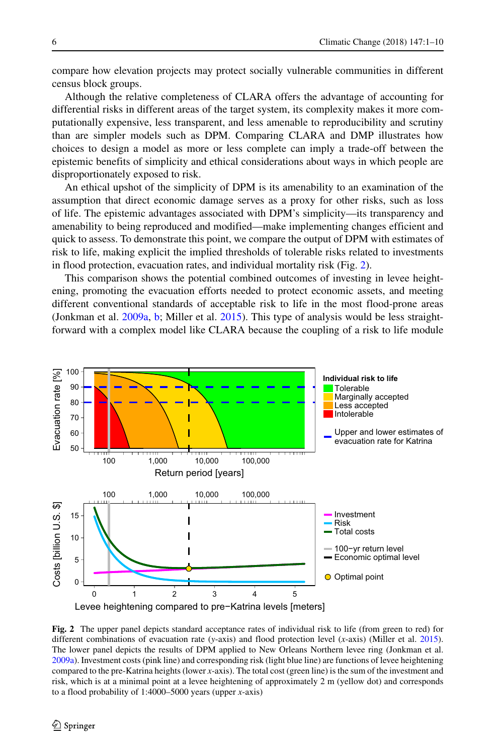compare how elevation projects may protect socially vulnerable communities in different census block groups.

Although the relative completeness of CLARA offers the advantage of accounting for differential risks in different areas of the target system, its complexity makes it more computationally expensive, less transparent, and less amenable to reproducibility and scrutiny than are simpler models such as DPM. Comparing CLARA and DMP illustrates how choices to design a model as more or less complete can imply a trade-off between the epistemic benefits of simplicity and ethical considerations about ways in which people are disproportionately exposed to risk.

An ethical upshot of the simplicity of DPM is its amenability to an examination of the assumption that direct economic damage serves as a proxy for other risks, such as loss of life. The epistemic advantages associated with DPM's simplicity—its transparency and amenability to being reproduced and modified—make implementing changes efficient and quick to assess. To demonstrate this point, we compare the output of DPM with estimates of risk to life, making explicit the implied thresholds of tolerable risks related to investments in flood protection, evacuation rates, and individual mortality risk (Fig. [2\)](#page-5-0).

This comparison shows the potential combined outcomes of investing in levee heightening, promoting the evacuation efforts needed to protect economic assets, and meeting different conventional standards of acceptable risk to life in the most flood-prone areas (Jonkman et al. [2009a,](#page-8-8) [b;](#page-8-17) Miller et al. [2015\)](#page-8-18). This type of analysis would be less straightforward with a complex model like CLARA because the coupling of a risk to life module

<span id="page-5-0"></span>

**Fig. 2** The upper panel depicts standard acceptance rates of individual risk to life (from green to red) for different combinations of evacuation rate (*y*-axis) and flood protection level (*x*-axis) (Miller et al. [2015\)](#page-8-18). The lower panel depicts the results of DPM applied to New Orleans Northern levee ring (Jonkman et al. [2009a\)](#page-8-8). Investment costs (pink line) and corresponding risk (light blue line) are functions of levee heightening compared to the pre-Katrina heights (lower *x*-axis). The total cost (green line) is the sum of the investment and risk, which is at a minimal point at a levee heightening of approximately 2 m (yellow dot) and corresponds to a flood probability of 1:4000–5000 years (upper *x*-axis)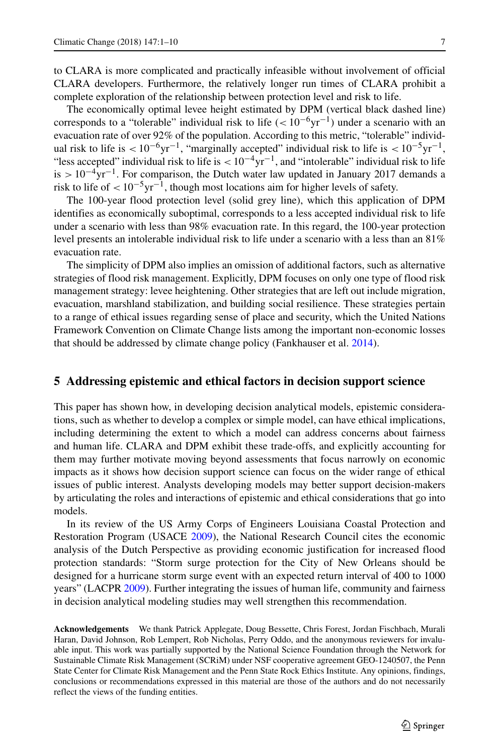to CLARA is more complicated and practically infeasible without involvement of official CLARA developers. Furthermore, the relatively longer run times of CLARA prohibit a complete exploration of the relationship between protection level and risk to life.

The economically optimal levee height estimated by DPM (vertical black dashed line) corresponds to a "tolerable" individual risk to life (*<* 10−6yr−1) under a scenario with an evacuation rate of over 92% of the population. According to this metric, "tolerable" individual risk to life is  $\langle 10^{-6} \text{yr}^{-1} \rangle$ , "marginally accepted" individual risk to life is  $\langle 10^{-5} \text{yr}^{-1} \rangle$ , "less accepted" individual risk to life is *<* 10−4yr−1, and "intolerable" individual risk to life is *>* 10−4yr−1. For comparison, the Dutch water law updated in January 2017 demands a risk to life of *<* 10−5yr−1, though most locations aim for higher levels of safety.

The 100-year flood protection level (solid grey line), which this application of DPM identifies as economically suboptimal, corresponds to a less accepted individual risk to life under a scenario with less than 98% evacuation rate. In this regard, the 100-year protection level presents an intolerable individual risk to life under a scenario with a less than an 81% evacuation rate.

The simplicity of DPM also implies an omission of additional factors, such as alternative strategies of flood risk management. Explicitly, DPM focuses on only one type of flood risk management strategy: levee heightening. Other strategies that are left out include migration, evacuation, marshland stabilization, and building social resilience. These strategies pertain to a range of ethical issues regarding sense of place and security, which the United Nations Framework Convention on Climate Change lists among the important non-economic losses that should be addressed by climate change policy (Fankhauser et al. [2014\)](#page-7-17).

### <span id="page-6-0"></span>**5 Addressing epistemic and ethical factors in decision support science**

This paper has shown how, in developing decision analytical models, epistemic considerations, such as whether to develop a complex or simple model, can have ethical implications, including determining the extent to which a model can address concerns about fairness and human life. CLARA and DPM exhibit these trade-offs, and explicitly accounting for them may further motivate moving beyond assessments that focus narrowly on economic impacts as it shows how decision support science can focus on the wider range of ethical issues of public interest. Analysts developing models may better support decision-makers by articulating the roles and interactions of epistemic and ethical considerations that go into models.

In its review of the US Army Corps of Engineers Louisiana Coastal Protection and Restoration Program (USACE [2009\)](#page-8-19), the National Research Council cites the economic analysis of the Dutch Perspective as providing economic justification for increased flood protection standards: "Storm surge protection for the City of New Orleans should be designed for a hurricane storm surge event with an expected return interval of 400 to 1000 years" (LACPR [2009\)](#page-8-20). Further integrating the issues of human life, community and fairness in decision analytical modeling studies may well strengthen this recommendation.

**Acknowledgements** We thank Patrick Applegate, Doug Bessette, Chris Forest, Jordan Fischbach, Murali Haran, David Johnson, Rob Lempert, Rob Nicholas, Perry Oddo, and the anonymous reviewers for invaluable input. This work was partially supported by the National Science Foundation through the Network for Sustainable Climate Risk Management (SCRiM) under NSF cooperative agreement GEO-1240507, the Penn State Center for Climate Risk Management and the Penn State Rock Ethics Institute. Any opinions, findings, conclusions or recommendations expressed in this material are those of the authors and do not necessarily reflect the views of the funding entities.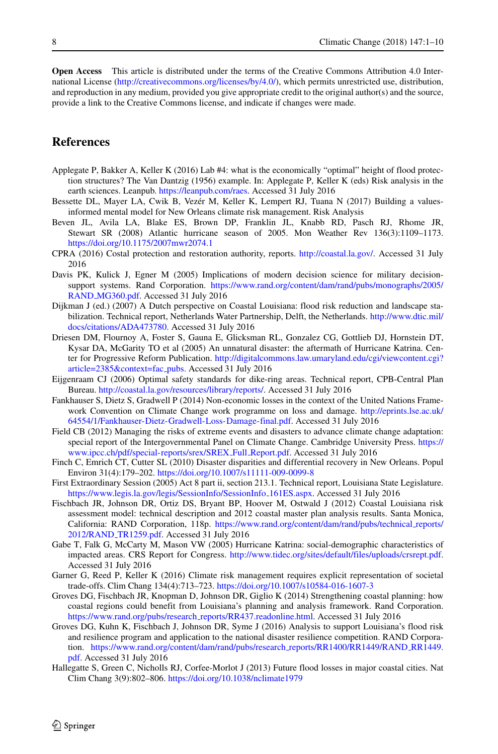**Open Access** This article is distributed under the terms of the Creative Commons Attribution 4.0 International License [\(http://creativecommons.org/licenses/by/4.0/\)](http://creativecommons.org/licenses/by/4.0/), which permits unrestricted use, distribution, and reproduction in any medium, provided you give appropriate credit to the original author(s) and the source, provide a link to the Creative Commons license, and indicate if changes were made.

## **References**

- <span id="page-7-14"></span>Applegate P, Bakker A, Keller K (2016) Lab #4: what is the economically "optimal" height of flood protection structures? The Van Dantzig (1956) example. In: Applegate P, Keller K (eds) Risk analysis in the earth sciences. Leanpub. [https://leanpub.com/raes.](https://leanpub.com/raes) Accessed 31 July 2016
- <span id="page-7-7"></span>Bessette DL, Mayer LA, Cwik B, Vezér M, Keller K, Lempert RJ, Tuana N (2017) Building a valuesinformed mental model for New Orleans climate risk management. Risk Analysis
- <span id="page-7-0"></span>Beven JL, Avila LA, Blake ES, Brown DP, Franklin JL, Knabb RD, Pasch RJ, Rhome JR, Stewart SR (2008) Atlantic hurricane season of 2005. Mon Weather Rev 136(3):1109–1173. <https://doi.org/10.1175/2007mwr2074.1>
- <span id="page-7-9"></span>CPRA (2016) Costal protection and restoration authority, reports. [http://coastal.la.gov/.](http://coastal.la.gov/) Accessed 31 July 2016
- <span id="page-7-3"></span>Davis PK, Kulick J, Egner M (2005) Implications of modern decision science for military decisionsupport systems. Rand Corporation. [https://www.rand.org/content/dam/rand/pubs/monographs/2005/](https://www.rand.org/content/dam/rand/pubs/monographs/2005/RAND_MG360.pdf) RAND [MG360.pdf.](https://www.rand.org/content/dam/rand/pubs/monographs/2005/RAND_MG360.pdf) Accessed 31 July 2016
- <span id="page-7-12"></span>Dijkman J (ed.) (2007) A Dutch perspective on Coastal Louisiana: flood risk reduction and landscape stabilization. Technical report, Netherlands Water Partnership, Delft, the Netherlands. [http://www.dtic.mil/](http://www.dtic.mil/docs/citations/ADA473780.) [docs/citations/ADA473780.](http://www.dtic.mil/docs/citations/ADA473780.) Accessed 31 July 2016
- <span id="page-7-1"></span>Driesen DM, Flournoy A, Foster S, Gauna E, Glicksman RL, Gonzalez CG, Gottlieb DJ, Hornstein DT, Kysar DA, McGarity TO et al (2005) An unnatural disaster: the aftermath of Hurricane Katrina. Center for Progressive Reform Publication. [http://digitalcommons.law.umaryland.edu/cgi/viewcontent.cgi?](http://digitalcommons.law.umaryland.edu/cgi/ viewcontent.cgi?article=2385&context=fac_pubs.) [article=2385&context=fac](http://digitalcommons.law.umaryland.edu/cgi/ viewcontent.cgi?article=2385&context=fac_pubs.) pubs. Accessed 31 July 2016
- <span id="page-7-15"></span>Eijgenraam CJ (2006) Optimal safety standards for dike-ring areas. Technical report, CPB-Central Plan Bureau. [http://coastal.la.gov/resources/library/reports/.](http://coastal.la.gov/resources/library/reports/) Accessed 31 July 2016
- <span id="page-7-17"></span>Fankhauser S, Dietz S, Gradwell P (2014) Non-economic losses in the context of the United Nations Framework Convention on Climate Change work programme on loss and damage. [http://eprints.lse.ac.uk/](http://eprints.lse.ac.uk/64554/1/Fankhauser-Dietz-Gradwell-Loss-Damage-final.pdf) [64554/1/Fankhauser-Dietz-Gradwell-Loss-Damage-final.pdf.](http://eprints.lse.ac.uk/64554/1/Fankhauser-Dietz-Gradwell-Loss-Damage-final.pdf) Accessed 31 July 2016
- <span id="page-7-4"></span>Field CB (2012) Managing the risks of extreme events and disasters to advance climate change adaptation: special report of the Intergovernmental Panel on Climate Change. Cambridge University Press. [https://](https://www.ipcc.ch/pdf/special-reports/srex/SREX_Full_Report.pdf) [www.ipcc.ch/pdf/special-reports/srex/SREX](https://www.ipcc.ch/pdf/special-reports/srex/SREX_Full_Report.pdf) Full Report.pdf. Accessed 31 July 2016
- <span id="page-7-16"></span>Finch C, Emrich CT, Cutter SL (2010) Disaster disparities and differential recovery in New Orleans. Popul Environ 31(4):179–202. <https://doi.org/10.1007/s11111-009-0099-8>
- <span id="page-7-8"></span>First Extraordinary Session (2005) Act 8 part ii, section 213.1. Technical report, Louisiana State Legislature. [https://www.legis.la.gov/legis/SessionInfo/SessionInfo](https://www.legis.la.gov/legis/SessionInfo/SessionInfo_161ES.aspx) 161ES.aspx. Accessed 31 July 2016
- <span id="page-7-13"></span>Fischbach JR, Johnson DR, Ortiz DS, Bryant BP, Hoover M, Ostwald J (2012) Coastal Louisiana risk assessment model: technical description and 2012 coastal master plan analysis results. Santa Monica, California: RAND Corporation, 118p. [https://www.rand.org/content/dam/rand/pubs/technical](https://www.rand.org/content/dam/rand/ pubs/technical_reports/ 2012/RAND_TR1259.pdf) reports/ [2012/RAND](https://www.rand.org/content/dam/rand/ pubs/technical_reports/ 2012/RAND_TR1259.pdf) TR1259.pdf. Accessed 31 July 2016
- <span id="page-7-2"></span>Gabe T, Falk G, McCarty M, Mason VW (2005) Hurricane Katrina: social-demographic characteristics of impacted areas. CRS Report for Congress. [http://www.tidec.org/sites/default/files/uploads/crsrept.pdf.](http://www.tidec.org/sites/default/files/uploads/crsrept.pdf) Accessed 31 July 2016
- <span id="page-7-6"></span>Garner G, Reed P, Keller K (2016) Climate risk management requires explicit representation of societal trade-offs. Clim Chang 134(4):713–723. <https://doi.org/10.1007/s10584-016-1607-3>
- <span id="page-7-10"></span>Groves DG, Fischbach JR, Knopman D, Johnson DR, Giglio K (2014) Strengthening coastal planning: how coastal regions could benefit from Louisiana's planning and analysis framework. Rand Corporation. [https://www.rand.org/pubs/research](https://www.rand.org/pubs/research_reports/RR437.readonline.html) reports/RR437.readonline.html. Accessed 31 July 2016
- <span id="page-7-11"></span>Groves DG, Kuhn K, Fischbach J, Johnson DR, Syme J (2016) Analysis to support Louisiana's flood risk and resilience program and application to the national disaster resilience competition. RAND Corporation. [https://www.rand.org/content/dam/rand/pubs/research](https://www.rand.org/content/dam/rand/pubs/research_reports/RR1400/RR1449/RAND_RR1449.pdf) reports/RR1400/RR1449/RAND RR1449. [pdf.](https://www.rand.org/content/dam/rand/pubs/research_reports/RR1400/RR1449/RAND_RR1449.pdf) Accessed 31 July 2016
- <span id="page-7-5"></span>Hallegatte S, Green C, Nicholls RJ, Corfee-Morlot J (2013) Future flood losses in major coastal cities. Nat Clim Chang 3(9):802–806. <https://doi.org/10.1038/nclimate1979>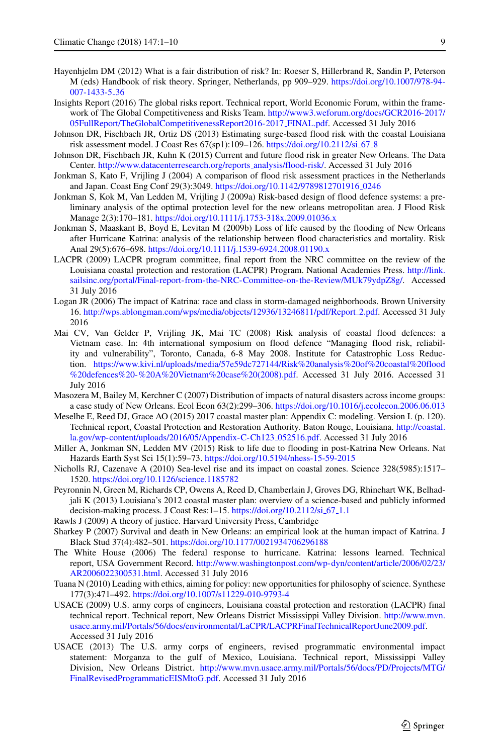- <span id="page-8-1"></span>Hayenhjelm DM (2012) What is a fair distribution of risk? In: Roeser S, Hillerbrand R, Sandin P, Peterson M (eds) Handbook of risk theory. Springer, Netherlands, pp 909–929. [https://doi.org/10.1007/978-94-](https://doi.org/10.1007/978-94-007-1433-5_36) [007-1433-5](https://doi.org/10.1007/978-94-007-1433-5_36) 36
- <span id="page-8-6"></span>Insights Report (2016) The global risks report. Technical report, World Economic Forum, within the framework of The Global Competitiveness and Risks Team. [http://www3.weforum.org/docs/GCR2016-2017/](http://www3.weforum.org/docs/GCR2016-2017/05FullReport/TheGlobalCompetitivenessReport2016-2017_FINAL.pdf) [05FullReport/TheGlobalCompetitivenessReport2016-2017](http://www3.weforum.org/docs/GCR2016-2017/05FullReport/TheGlobalCompetitivenessReport2016-2017_FINAL.pdf) FINAL.pdf. Accessed 31 July 2016
- <span id="page-8-13"></span>Johnson DR, Fischbach JR, Ortiz DS (2013) Estimating surge-based flood risk with the coastal Louisiana risk assessment model. J Coast Res 67(sp1):109–126. [https://doi.org/10.2112/si](https://doi.org/10.2112/si_67_8) 67 8
- <span id="page-8-11"></span>Johnson DR, Fischbach JR, Kuhn K (2015) Current and future flood risk in greater New Orleans. The Data Center. [http://www.datacenterresearch.org/reports](http://www.datacenterresearch.org/reports_analysis/flood-risk/) analysis/flood-risk/. Accessed 31 July 2016
- <span id="page-8-15"></span>Jonkman S, Kato F, Vrijling J (2004) A comparison of flood risk assessment practices in the Netherlands and Japan. Coast Eng Conf 29(3):3049. [https://doi.org/10.1142/9789812701916](https://doi.org/10.1142/9789812701916_0246) 0246
- <span id="page-8-8"></span>Jonkman S, Kok M, Van Ledden M, Vrijling J (2009a) Risk-based design of flood defence systems: a preliminary analysis of the optimal protection level for the new orleans metropolitan area. J Flood Risk Manage 2(3):170–181. <https://doi.org/10.1111/j.1753-318x.2009.01036.x>
- <span id="page-8-17"></span>Jonkman S, Maaskant B, Boyd E, Levitan M (2009b) Loss of life caused by the flooding of New Orleans after Hurricane Katrina: analysis of the relationship between flood characteristics and mortality. Risk Anal 29(5):676–698. <https://doi.org/10.1111/j.1539-6924.2008.01190.x>
- <span id="page-8-20"></span>LACPR (2009) LACPR program committee, final report from the NRC committee on the review of the Louisiana coastal protection and restoration (LACPR) Program. National Academies Press. [http://link.](http://link.sailsinc.org/portal/Final-report-from-the-NRC-Committee-on-the-Review/MUk79ydpZ8g/) [sailsinc.org/portal/Final-report-from-the-NRC-Committee-on-the-Review/MUk79ydpZ8g/.](http://link.sailsinc.org/portal/Final-report-from-the-NRC-Committee-on-the-Review/MUk79ydpZ8g/) Accessed 31 July 2016
- <span id="page-8-3"></span>Logan JR (2006) The impact of Katrina: race and class in storm-damaged neighborhoods. Brown University 16. [http://wps.ablongman.com/wps/media/objects/12936/13246811/pdf/Report](http://wps.ablongman.com/wps/media/objects/12936/13246811/pdf/Report_2.pdf) 2.pdf. Accessed 31 July 2016
- <span id="page-8-14"></span>Mai CV, Van Gelder P, Vrijling JK, Mai TC (2008) Risk analysis of coastal flood defences: a Vietnam case. In: 4th international symposium on flood defence "Managing flood risk, reliability and vulnerability", Toronto, Canada, 6-8 May 2008. Institute for Catastrophic Loss Reduction. [https://www.kivi.nl/uploads/media/57e59dc727144/Risk%20analysis%20of%20coastal%20flood](https://www.kivi.nl/uploads/media/57e59dc727144/Risk%20analysis%20of%20coastal%20flood%20defences%20-%20A%20Vietnam%20case%20(2008).pdf) [%20defences%20-%20A%20Vietnam%20case%20\(2008\).pdf.](https://www.kivi.nl/uploads/media/57e59dc727144/Risk%20analysis%20of%20coastal%20flood%20defences%20-%20A%20Vietnam%20case%20(2008).pdf) Accessed 31 July 2016. Accessed 31 July 2016
- <span id="page-8-2"></span>Masozera M, Bailey M, Kerchner C (2007) Distribution of impacts of natural disasters across income groups: a case study of New Orleans. Ecol Econ 63(2):299–306. <https://doi.org/10.1016/j.ecolecon.2006.06.013>
- <span id="page-8-10"></span>Meselhe E, Reed DJ, Grace AO (2015) 2017 coastal master plan: Appendix C: modeling. Version I. (p. 120). Technical report, Coastal Protection and Restoration Authority. Baton Rouge, Louisiana. [http://coastal.](http://coastal.la.gov/wp-content/uploads/2016/05/Appendix-C-Ch123_052516.pdf) [la.gov/wp-content/uploads/2016/05/Appendix-C-Ch123](http://coastal.la.gov/wp-content/uploads/2016/05/Appendix-C-Ch123_052516.pdf) 052516.pdf. Accessed 31 July 2016
- <span id="page-8-18"></span>Miller A, Jonkman SN, Ledden MV (2015) Risk to life due to flooding in post-Katrina New Orleans. Nat Hazards Earth Syst Sci 15(1):59–73. <https://doi.org/10.5194/nhess-15-59-2015>
- <span id="page-8-5"></span>Nicholls RJ, Cazenave A (2010) Sea-level rise and its impact on coastal zones. Science 328(5985):1517– 1520. <https://doi.org/10.1126/science.1185782>
- <span id="page-8-9"></span>Peyronnin N, Green M, Richards CP, Owens A, Reed D, Chamberlain J, Groves DG, Rhinehart WK, Belhadjali K (2013) Louisiana's 2012 coastal master plan: overview of a science-based and publicly informed decision-making process. J Coast Res:1-15. [https://doi.org/10.2112/si](https://doi.org/10.2112/si_67_1.1)\_67\_1.1
- <span id="page-8-16"></span>Rawls J (2009) A theory of justice. Harvard University Press, Cambridge
- <span id="page-8-4"></span>Sharkey P (2007) Survival and death in New Orleans: an empirical look at the human impact of Katrina. J Black Stud 37(4):482–501. <https://doi.org/10.1177/0021934706296188>
- <span id="page-8-0"></span>The White House (2006) The federal response to hurricane. Katrina: lessons learned. Technical report, USA Government Record. [http://www.washingtonpost.com/wp-dyn/content/article/2006/02/23/](http://www.washingtonpost.com/wp-dyn/content/article/2006/02/23/AR2006022300531.html) [AR2006022300531.html.](http://www.washingtonpost.com/wp-dyn/content/article/2006/02/23/AR2006022300531.html) Accessed 31 July 2016
- <span id="page-8-7"></span>Tuana N (2010) Leading with ethics, aiming for policy: new opportunities for philosophy of science. Synthese 177(3):471–492. <https://doi.org/10.1007/s11229-010-9793-4>
- <span id="page-8-19"></span>USACE (2009) U.S. army corps of engineers, Louisiana coastal protection and restoration (LACPR) final technical report. Technical report, New Orleans District Mississippi Valley Division. [http://www.mvn.](http://www.mvn.usace.army.mil/Portals/56/docs/environmental/LaCPR/LACPRFinalTechnicalReportJune2009.pdf) [usace.army.mil/Portals/56/docs/environmental/LaCPR/LACPRFinalTechnicalReportJune2009.pdf.](http://www.mvn.usace.army.mil/Portals/56/docs/environmental/LaCPR/LACPRFinalTechnicalReportJune2009.pdf) Accessed 31 July 2016
- <span id="page-8-12"></span>USACE (2013) The U.S. army corps of engineers, revised programmatic environmental impact statement: Morganza to the gulf of Mexico, Louisiana. Technical report, Mississippi Valley Division, New Orleans District. [http://www.mvn.usace.army.mil/Portals/56/docs/PD/Projects/MTG/](http://www.mvn.usace.army.mil/Portals/56/docs/PD/Projects/MTG/FinalRevisedProgrammaticEISMtoG.pdf) [FinalRevisedProgrammaticEISMtoG.pdf.](http://www.mvn.usace.army.mil/Portals/56/docs/PD/Projects/MTG/FinalRevisedProgrammaticEISMtoG.pdf) Accessed 31 July 2016